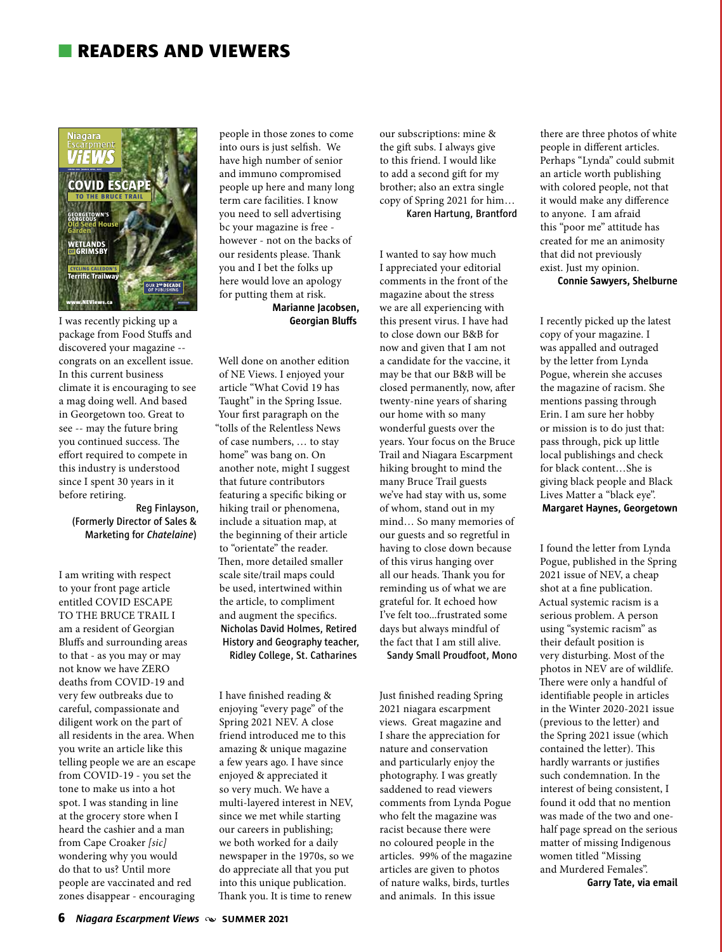# n **readers and viewers**



I was recently picking up a package from Food Stuffs and discovered your magazine - congrats on an excellent issue. In this current business climate it is encouraging to see a mag doing well. And based in Georgetown too. Great to see -- may the future bring you continued success. The effort required to compete in this industry is understood since I spent 30 years in it before retiring.

> **Reg Finlayson, (Formerly Director of Sales & Marketing for** *Chatelaine***)**

I am writing with respect to your front page article entitled COVID ESCAPE TO THE BRUCE TRAIL I am a resident of Georgian Bluffs and surrounding areas to that - as you may or may not know we have ZERO deaths from COVID-19 and very few outbreaks due to careful, compassionate and diligent work on the part of all residents in the area. When you write an article like this telling people we are an escape from COVID-19 - you set the tone to make us into a hot spot. I was standing in line at the grocery store when I heard the cashier and a man from Cape Croaker *[sic]* wondering why you would do that to us? Until more people are vaccinated and red zones disappear - encouraging

people in those zones to come into ours is just selfish. We have high number of senior and immuno compromised people up here and many long term care facilities. I know you need to sell advertising bc your magazine is free however - not on the backs of our residents please. Thank you and I bet the folks up here would love an apology for putting them at risk.

### **Marianne Jacobsen, Georgian Bluffs**

Well done on another edition of NE Views. I enjoyed your article "What Covid 19 has Taught" in the Spring Issue. Your first paragraph on the "tolls of the Relentless News of case numbers, … to stay home" was bang on. On another note, might I suggest that future contributors featuring a specific biking or hiking trail or phenomena, include a situation map, at the beginning of their article to "orientate" the reader. Then, more detailed smaller scale site/trail maps could be used, intertwined within the article, to compliment and augment the specifics. **Nicholas David Holmes, Retired History and Geography teacher, Ridley College, St. Catharines**

our subscriptions: mine & the gift subs. I always give to this friend. I would like to add a second gift for my brother; also an extra single copy of Spring 2021 for him… **Karen Hartung, Brantford**

I wanted to say how much I appreciated your editorial comments in the front of the magazine about the stress we are all experiencing with this present virus. I have had to close down our B&B for now and given that I am not a candidate for the vaccine, it may be that our B&B will be closed permanently, now, after twenty-nine years of sharing our home with so many wonderful guests over the years. Your focus on the Bruce Trail and Niagara Escarpment hiking brought to mind the many Bruce Trail guests we've had stay with us, some of whom, stand out in my mind… So many memories of our guests and so regretful in having to close down because of this virus hanging over all our heads. Thank you for reminding us of what we are grateful for. It echoed how I've felt too...frustrated some days but always mindful of the fact that I am still alive.

**Sandy Small Proudfoot, Mono**

I have finished reading & enjoying "every page" of the Spring 2021 NEV. A close friend introduced me to this amazing & unique magazine a few years ago. I have since enjoyed & appreciated it so very much. We have a multi-layered interest in NEV, since we met while starting our careers in publishing; we both worked for a daily newspaper in the 1970s, so we do appreciate all that you put into this unique publication. Thank you. It is time to renew

Just finished reading Spring 2021 niagara escarpment views. Great magazine and I share the appreciation for nature and conservation and particularly enjoy the photography. I was greatly saddened to read viewers comments from Lynda Pogue who felt the magazine was racist because there were no coloured people in the articles. 99% of the magazine articles are given to photos of nature walks, birds, turtles and animals. In this issue

there are three photos of white people in different articles. Perhaps "Lynda" could submit an article worth publishing with colored people, not that it would make any difference to anyone. I am afraid this "poor me" attitude has created for me an animosity that did not previously exist. Just my opinion.

**Connie Sawyers, Shelburne**

I recently picked up the latest copy of your magazine. I was appalled and outraged by the letter from Lynda Pogue, wherein she accuses the magazine of racism. She mentions passing through Erin. I am sure her hobby or mission is to do just that: pass through, pick up little local publishings and check for black content…She is giving black people and Black Lives Matter a "black eye". **Margaret Haynes, Georgetown**

I found the letter from Lynda Pogue, published in the Spring 2021 issue of NEV, a cheap shot at a fine publication. Actual systemic racism is a serious problem. A person using "systemic racism" as their default position is very disturbing. Most of the photos in NEV are of wildlife. There were only a handful of identifiable people in articles in the Winter 2020-2021 issue (previous to the letter) and the Spring 2021 issue (which contained the letter). This hardly warrants or justifies such condemnation. In the interest of being consistent, I found it odd that no mention was made of the two and onehalf page spread on the serious matter of missing Indigenous women titled "Missing and Murdered Females". **Garry Tate, via email**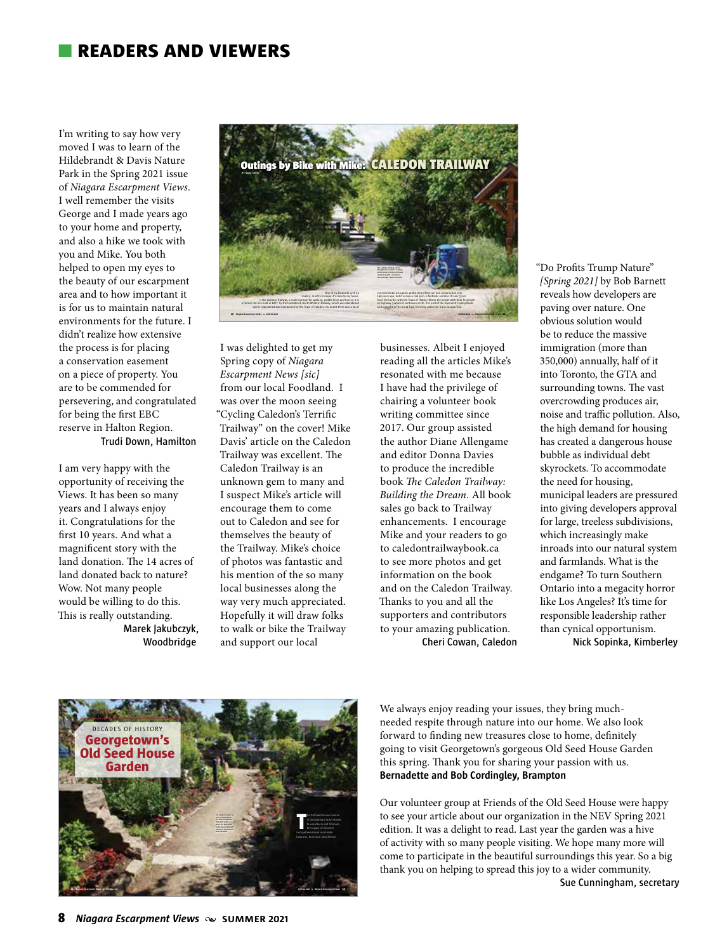## n **readers and viewers**

I'm writing to say how very moved I was to learn of the Hildebrandt & Davis Nature Park in the Spring 2021 issue of *Niagara Escarpment Views*. I well remember the visits George and I made years ago to your home and property, and also a hike we took with you and Mike. You both helped to open my eyes to the beauty of our escarpment area and to how important it is for us to maintain natural environments for the future. I didn't realize how extensive the process is for placing a conservation easement on a piece of property. You are to be commended for persevering, and congratulated for being the first EBC reserve in Halton Region. **Trudi Down, Hamilton**

I am very happy with the opportunity of receiving the Views. It has been so many years and I always enjoy it. Congratulations for the first 10 years. And what a magnificent story with the land donation. The 14 acres of land donated back to nature? Wow. Not many people would be willing to do this. This is really outstanding. **Marek Jakubczyk,** 

**Woodbridge**



I was delighted to get my Spring copy of *Niagara Escarpment News [sic]* from our local Foodland. I was over the moon seeing "Cycling Caledon's Terrific Trailway" on the cover! Mike Davis' article on the Caledon Trailway was excellent. The Caledon Trailway is an unknown gem to many and I suspect Mike's article will encourage them to come out to Caledon and see for themselves the beauty of the Trailway. Mike's choice of photos was fantastic and his mention of the so many local businesses along the way very much appreciated. Hopefully it will draw folks to walk or bike the Trailway and support our local

businesses. Albeit I enjoyed reading all the articles Mike's resonated with me because I have had the privilege of chairing a volunteer book writing committee since 2017. Our group assisted the author Diane Allengame and editor Donna Davies to produce the incredible book *The Caledon Trailway: Building the Dream.* All book sales go back to Trailway enhancements. I encourage Mike and your readers to go to caledontrailwaybook.ca to see more photos and get information on the book and on the Caledon Trailway. Thanks to you and all the supporters and contributors to your amazing publication. **Cheri Cowan, Caledon** "Do Profits Trump Nature" *[Spring 2021]* by Bob Barnett reveals how developers are paving over nature. One obvious solution would be to reduce the massive immigration (more than 350,000) annually, half of it into Toronto, the GTA and surrounding towns. The vast overcrowding produces air, noise and traffic pollution. Also, the high demand for housing has created a dangerous house bubble as individual debt skyrockets. To accommodate the need for housing, municipal leaders are pressured into giving developers approval for large, treeless subdivisions, which increasingly make inroads into our natural system and farmlands. What is the endgame? To turn Southern Ontario into a megacity horror like Los Angeles? It's time for responsible leadership rather than cynical opportunism. **Nick Sopinka, Kimberley** 



We always enjoy reading your issues, they bring muchneeded respite through nature into our home. We also look forward to finding new treasures close to home, definitely going to visit Georgetown's gorgeous Old Seed House Garden this spring. Thank you for sharing your passion with us. **Bernadette and Bob Cordingley, Brampton** 

Our volunteer group at Friends of the Old Seed House were happy to see your article about our organization in the NEV Spring 2021 edition. It was a delight to read. Last year the garden was a hive of activity with so many people visiting. We hope many more will come to participate in the beautiful surroundings this year. So a big thank you on helping to spread this joy to a wider community. **Sue Cunningham, secretary**